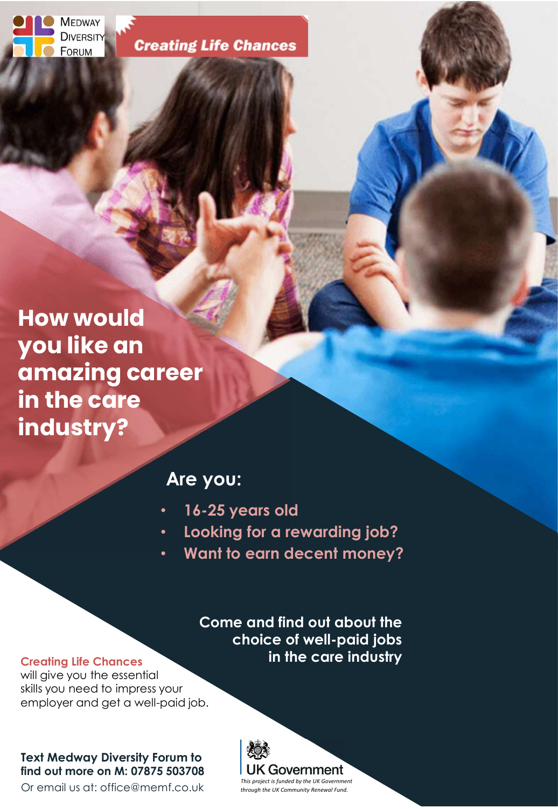**MEDWAY DIVERSITY** FORUM

**Creating Life Chances** 

How would you like an amazing career in the care industry?

## Are you:

- 16-25 years old
- Looking for a rewarding job?
- Want to earn decent money?

Come and find out about the choice of well-paid jobs in the care industry

#### Creating Life Chances

will give you the essential skills you need to impress your employer and get a well-paid job.

### Text Medway Diversity Forum to find out more on M: 07875 503708

Or email us at: office@memf.co.uk